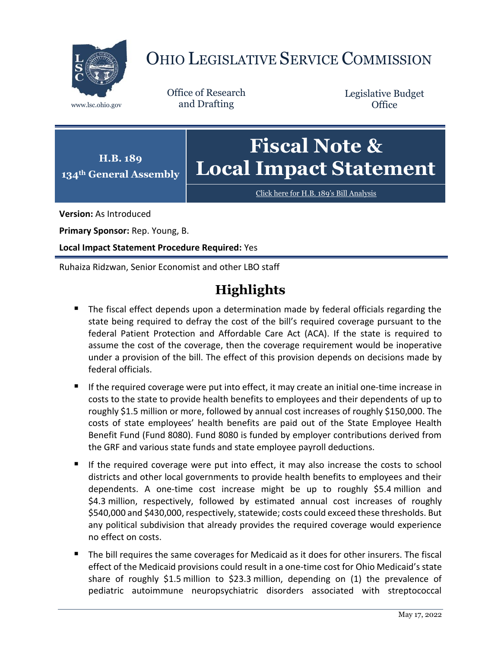

# OHIO LEGISLATIVE SERVICE COMMISSION

Office of Research www.lsc.ohio.gov and Drafting

Legislative Budget **Office** 



Click here for [H.B. 189's Bill Analysis](https://www.legislature.ohio.gov/legislation/legislation-documents?id=GA134-HB-189)

**Version:** As Introduced

**Primary Sponsor:** Rep. Young, B.

**Local Impact Statement Procedure Required:** Yes

Ruhaiza Ridzwan, Senior Economist and other LBO staff

# **Highlights**

- The fiscal effect depends upon a determination made by federal officials regarding the state being required to defray the cost of the bill's required coverage pursuant to the federal Patient Protection and Affordable Care Act (ACA). If the state is required to assume the cost of the coverage, then the coverage requirement would be inoperative under a provision of the bill. The effect of this provision depends on decisions made by federal officials.
- If the required coverage were put into effect, it may create an initial one-time increase in costs to the state to provide health benefits to employees and their dependents of up to roughly \$1.5 million or more, followed by annual cost increases of roughly \$150,000. The costs of state employees' health benefits are paid out of the State Employee Health Benefit Fund (Fund 8080). Fund 8080 is funded by employer contributions derived from the GRF and various state funds and state employee payroll deductions.
- If the required coverage were put into effect, it may also increase the costs to school districts and other local governments to provide health benefits to employees and their dependents. A one-time cost increase might be up to roughly \$5.4 million and \$4.3 million, respectively, followed by estimated annual cost increases of roughly \$540,000 and \$430,000, respectively, statewide; costs could exceed these thresholds. But any political subdivision that already provides the required coverage would experience no effect on costs.
- The bill requires the same coverages for Medicaid as it does for other insurers. The fiscal effect of the Medicaid provisions could result in a one-time cost for Ohio Medicaid's state share of roughly \$1.5 million to \$23.3 million, depending on (1) the prevalence of pediatric autoimmune neuropsychiatric disorders associated with streptococcal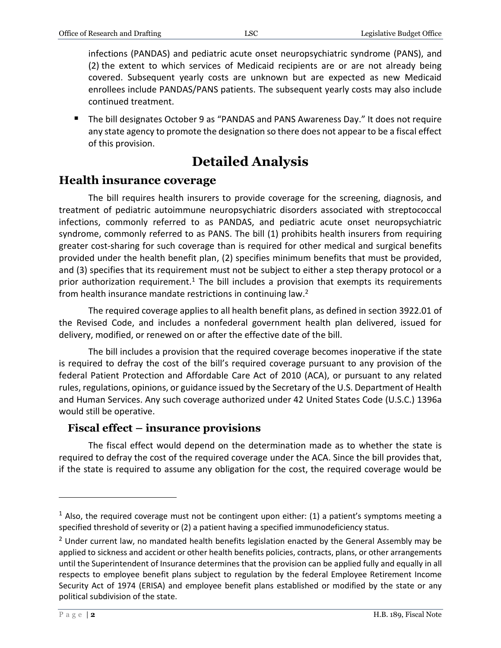infections (PANDAS) and pediatric acute onset neuropsychiatric syndrome (PANS), and (2) the extent to which services of Medicaid recipients are or are not already being covered. Subsequent yearly costs are unknown but are expected as new Medicaid enrollees include PANDAS/PANS patients. The subsequent yearly costs may also include continued treatment.

■ The bill designates October 9 as "PANDAS and PANS Awareness Day." It does not require any state agency to promote the designation so there does not appear to be a fiscal effect of this provision.

# **Detailed Analysis**

## **Health insurance coverage**

The bill requires health insurers to provide coverage for the screening, diagnosis, and treatment of pediatric autoimmune neuropsychiatric disorders associated with streptococcal infections, commonly referred to as PANDAS, and pediatric acute onset neuropsychiatric syndrome, commonly referred to as PANS. The bill (1) prohibits health insurers from requiring greater cost-sharing for such coverage than is required for other medical and surgical benefits provided under the health benefit plan, (2) specifies minimum benefits that must be provided, and (3) specifies that its requirement must not be subject to either a step therapy protocol or a prior authorization requirement.<sup>1</sup> The bill includes a provision that exempts its requirements from health insurance mandate restrictions in continuing law.<sup>2</sup>

The required coverage applies to all health benefit plans, as defined in section 3922.01 of the Revised Code, and includes a nonfederal government health plan delivered, issued for delivery, modified, or renewed on or after the effective date of the bill.

The bill includes a provision that the required coverage becomes inoperative if the state is required to defray the cost of the bill's required coverage pursuant to any provision of the federal Patient Protection and Affordable Care Act of 2010 (ACA), or pursuant to any related rules, regulations, opinions, or guidance issued by the Secretary of the U.S. Department of Health and Human Services. Any such coverage authorized under 42 United States Code (U.S.C.) 1396a would still be operative.

#### **Fiscal effect – insurance provisions**

The fiscal effect would depend on the determination made as to whether the state is required to defray the cost of the required coverage under the ACA. Since the bill provides that, if the state is required to assume any obligation for the cost, the required coverage would be

 $1$  Also, the required coverage must not be contingent upon either: (1) a patient's symptoms meeting a specified threshold of severity or (2) a patient having a specified immunodeficiency status.

 $<sup>2</sup>$  Under current law, no mandated health benefits legislation enacted by the General Assembly may be</sup> applied to sickness and accident or other health benefits policies, contracts, plans, or other arrangements until the Superintendent of Insurance determines that the provision can be applied fully and equally in all respects to employee benefit plans subject to regulation by the federal Employee Retirement Income Security Act of 1974 (ERISA) and employee benefit plans established or modified by the state or any political subdivision of the state.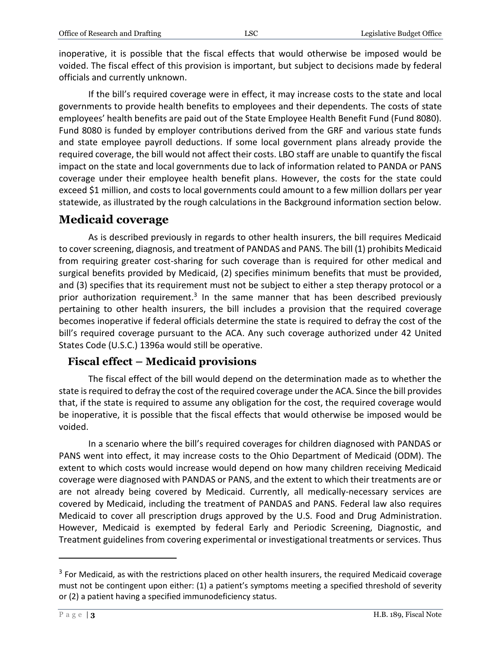inoperative, it is possible that the fiscal effects that would otherwise be imposed would be voided. The fiscal effect of this provision is important, but subject to decisions made by federal officials and currently unknown.

If the bill's required coverage were in effect, it may increase costs to the state and local governments to provide health benefits to employees and their dependents. The costs of state employees' health benefits are paid out of the State Employee Health Benefit Fund (Fund 8080). Fund 8080 is funded by employer contributions derived from the GRF and various state funds and state employee payroll deductions. If some local government plans already provide the required coverage, the bill would not affect their costs. LBO staff are unable to quantify the fiscal impact on the state and local governments due to lack of information related to PANDA or PANS coverage under their employee health benefit plans. However, the costs for the state could exceed \$1 million, and costs to local governments could amount to a few million dollars per year statewide, as illustrated by the rough calculations in the Background information section below.

# **Medicaid coverage**

As is described previously in regards to other health insurers, the bill requires Medicaid to cover screening, diagnosis, and treatment of PANDAS and PANS. The bill (1) prohibits Medicaid from requiring greater cost-sharing for such coverage than is required for other medical and surgical benefits provided by Medicaid, (2) specifies minimum benefits that must be provided, and (3) specifies that its requirement must not be subject to either a step therapy protocol or a prior authorization requirement.<sup>3</sup> In the same manner that has been described previously pertaining to other health insurers, the bill includes a provision that the required coverage becomes inoperative if federal officials determine the state is required to defray the cost of the bill's required coverage pursuant to the ACA. Any such coverage authorized under 42 United States Code (U.S.C.) 1396a would still be operative.

#### **Fiscal effect – Medicaid provisions**

The fiscal effect of the bill would depend on the determination made as to whether the state is required to defray the cost of the required coverage under the ACA. Since the bill provides that, if the state is required to assume any obligation for the cost, the required coverage would be inoperative, it is possible that the fiscal effects that would otherwise be imposed would be voided.

In a scenario where the bill's required coverages for children diagnosed with PANDAS or PANS went into effect, it may increase costs to the Ohio Department of Medicaid (ODM). The extent to which costs would increase would depend on how many children receiving Medicaid coverage were diagnosed with PANDAS or PANS, and the extent to which their treatments are or are not already being covered by Medicaid. Currently, all medically-necessary services are covered by Medicaid, including the treatment of PANDAS and PANS. Federal law also requires Medicaid to cover all prescription drugs approved by the U.S. Food and Drug Administration. However, Medicaid is exempted by federal Early and Periodic Screening, Diagnostic, and Treatment guidelines from covering experimental or investigational treatments or services. Thus

 $3$  For Medicaid, as with the restrictions placed on other health insurers, the required Medicaid coverage must not be contingent upon either: (1) a patient's symptoms meeting a specified threshold of severity or (2) a patient having a specified immunodeficiency status.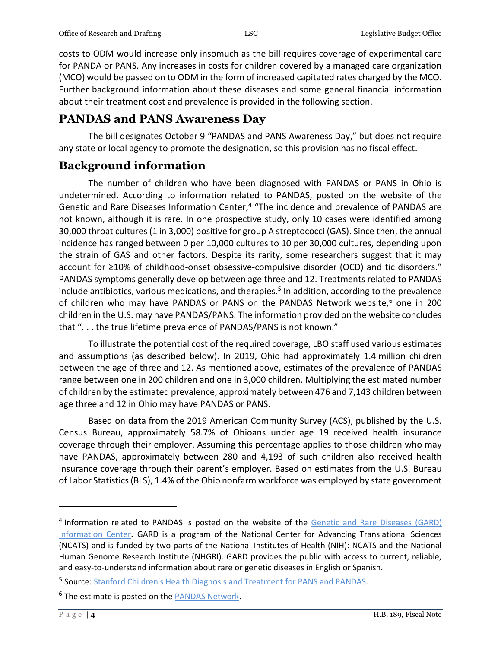costs to ODM would increase only insomuch as the bill requires coverage of experimental care for PANDA or PANS. Any increases in costs for children covered by a managed care organization (MCO) would be passed on to ODM in the form of increased capitated rates charged by the MCO. Further background information about these diseases and some general financial information about their treatment cost and prevalence is provided in the following section.

## **PANDAS and PANS Awareness Day**

The bill designates October 9 "PANDAS and PANS Awareness Day," but does not require any state or local agency to promote the designation, so this provision has no fiscal effect.

## **Background information**

The number of children who have been diagnosed with PANDAS or PANS in Ohio is undetermined. According to information related to PANDAS, posted on the website of the Genetic and Rare Diseases Information Center,<sup>4</sup> "The incidence and prevalence of PANDAS are not known, although it is rare. In one prospective study, only 10 cases were identified among 30,000 throat cultures (1 in 3,000) positive for group A streptococci (GAS). Since then, the annual incidence has ranged between 0 per 10,000 cultures to 10 per 30,000 cultures, depending upon the strain of GAS and other factors. Despite its rarity, some researchers suggest that it may account for ≥10% of childhood-onset obsessive-compulsive disorder (OCD) and tic disorders." PANDAS symptoms generally develop between age three and 12. Treatments related to PANDAS include antibiotics, various medications, and therapies.<sup>5</sup> In addition, according to the prevalence of children who may have PANDAS or PANS on the PANDAS Network website,<sup>6</sup> one in 200 children in the U.S. may have PANDAS/PANS. The information provided on the website concludes that ". . . the true lifetime prevalence of PANDAS/PANS is not known."

To illustrate the potential cost of the required coverage, LBO staff used various estimates and assumptions (as described below). In 2019, Ohio had approximately 1.4 million children between the age of three and 12. As mentioned above, estimates of the prevalence of PANDAS range between one in 200 children and one in 3,000 children. Multiplying the estimated number of children by the estimated prevalence, approximately between 476 and 7,143 children between age three and 12 in Ohio may have PANDAS or PANS.

Based on data from the 2019 American Community Survey (ACS), published by the U.S. Census Bureau, approximately 58.7% of Ohioans under age 19 received health insurance coverage through their employer. Assuming this percentage applies to those children who may have PANDAS, approximately between 280 and 4,193 of such children also received health insurance coverage through their parent's employer. Based on estimates from the U.S. Bureau of Labor Statistics (BLS), 1.4% of the Ohio nonfarm workforce was employed by state government

<sup>&</sup>lt;sup>4</sup> Information related to PANDAS is posted on the website of the Genetic and Rare Diseases (GARD) [Information Center](https://rarediseases.info.nih.gov/diseases/7312/pediatric-autoimmune-neuropsychiatric-disorders-associated-with-streptococcus-infections). GARD is a program of the National Center for Advancing Translational Sciences (NCATS) and is funded by two parts of the National Institutes of Health (NIH): NCATS and the National Human Genome Research Institute (NHGRI). GARD provides the public with access to current, reliable, and easy-to-understand information about rare or genetic diseases in English or Spanish.

<sup>&</sup>lt;sup>5</sup> Source: **[Stanford Children's Health Diagnosis and Treatment for PANS and PANDAS.](https://www.stanfordchildrens.org/en/service/pans-pandas/diagnosis-and-treatment)** 

<sup>&</sup>lt;sup>6</sup> The estimate is posted on th[e PANDAS Network.](http://pandasnetwork.org/statistics/)